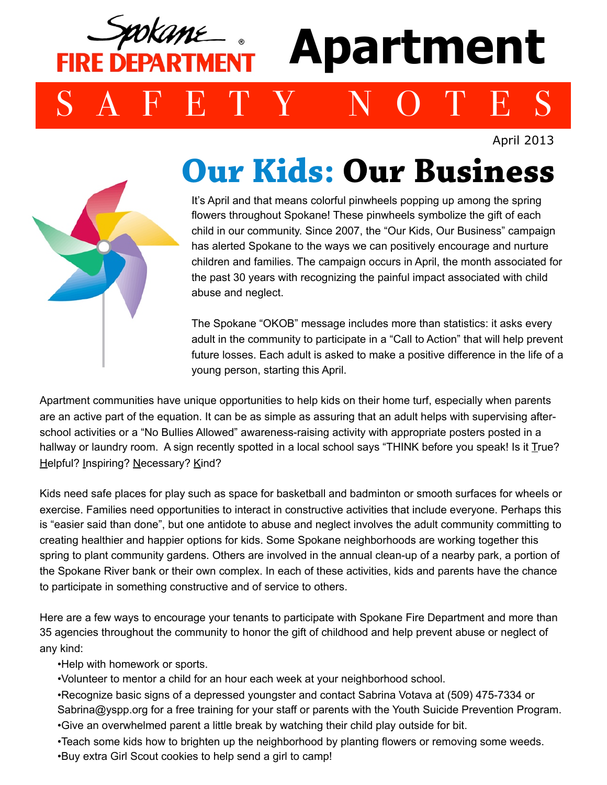## okame **Apartment**  IRF DFPARTMFN SAFETY NOTES

April 2013



## **Our Kids: Our Business**

It's April and that means colorful pinwheels popping up among the spring flowers throughout Spokane! These pinwheels symbolize the gift of each child in our community. Since 2007, the "Our Kids, Our Business" campaign has alerted Spokane to the ways we can positively encourage and nurture children and families. The campaign occurs in April, the month associated for the past 30 years with recognizing the painful impact associated with child abuse and neglect.

The Spokane "OKOB" message includes more than statistics: it asks every adult in the community to participate in a "Call to Action" that will help prevent future losses. Each adult is asked to make a positive difference in the life of a young person, starting this April.

Apartment communities have unique opportunities to help kids on their home turf, especially when parents are an active part of the equation. It can be as simple as assuring that an adult helps with supervising afterschool activities or a "No Bullies Allowed" awareness-raising activity with appropriate posters posted in a hallway or laundry room. A sign recently spotted in a local school says "THINK before you speak! Is it True? Helpful? Inspiring? Necessary? Kind?

Kids need safe places for play such as space for basketball and badminton or smooth surfaces for wheels or exercise. Families need opportunities to interact in constructive activities that include everyone. Perhaps this is "easier said than done", but one antidote to abuse and neglect involves the adult community committing to creating healthier and happier options for kids. Some Spokane neighborhoods are working together this spring to plant community gardens. Others are involved in the annual clean-up of a nearby park, a portion of the Spokane River bank or their own complex. In each of these activities, kids and parents have the chance to participate in something constructive and of service to others.

Here are a few ways to encourage your tenants to participate with Spokane Fire Department and more than 35 agencies throughout the community to honor the gift of childhood and help prevent abuse or neglect of any kind:

•Help with homework or sports.

•Volunteer to mentor a child for an hour each week at your neighborhood school.

•Recognize basic signs of a depressed youngster and contact Sabrina Votava at (509) 475-7334 or [Sabrina@yspp.org](mailto:Sabrina@yspp.org) for a free training for your staff or parents with the Youth Suicide Prevention Program. •Give an overwhelmed parent a little break by watching their child play outside for bit.

•Teach some kids how to brighten up the neighborhood by planting flowers or removing some weeds.

•Buy extra Girl Scout cookies to help send a girl to camp!